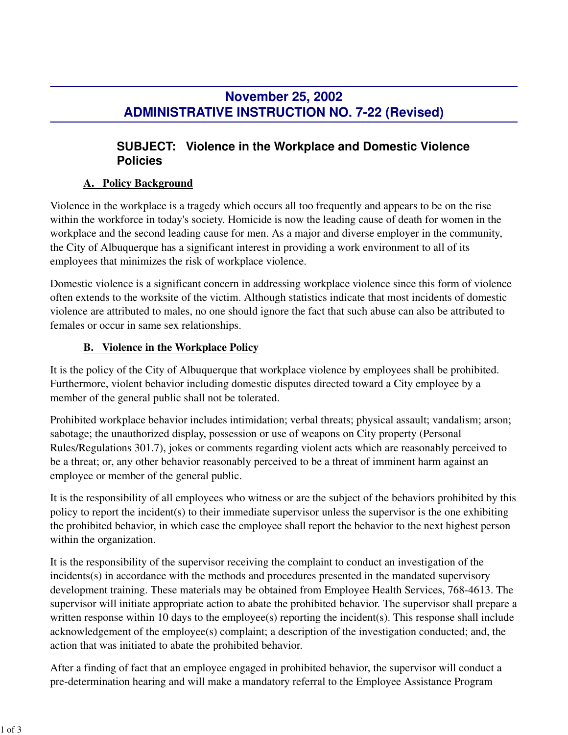# **November 25, 2002 ADMINISTRATIVE INSTRUCTION NO. 7-22 (Revised)**

## **SUBJECT: Violence in the Workplace and Domestic Violence Policies**

#### **A. Policy Background**

Violence in the workplace is a tragedy which occurs all too frequently and appears to be on the rise within the workforce in today's society. Homicide is now the leading cause of death for women in the workplace and the second leading cause for men. As a major and diverse employer in the community, the City of Albuquerque has a significant interest in providing a work environment to all of its employees that minimizes the risk of workplace violence.

Domestic violence is a significant concern in addressing workplace violence since this form of violence often extends to the worksite of the victim. Although statistics indicate that most incidents of domestic violence are attributed to males, no one should ignore the fact that such abuse can also be attributed to females or occur in same sex relationships.

### **B. Violence in the Workplace Policy**

It is the policy of the City of Albuquerque that workplace violence by employees shall be prohibited. Furthermore, violent behavior including domestic disputes directed toward a City employee by a member of the general public shall not be tolerated.

Prohibited workplace behavior includes intimidation; verbal threats; physical assault; vandalism; arson; sabotage; the unauthorized display, possession or use of weapons on City property (Personal Rules/Regulations 301.7), jokes or comments regarding violent acts which are reasonably perceived to be a threat; or, any other behavior reasonably perceived to be a threat of imminent harm against an employee or member of the general public.

It is the responsibility of all employees who witness or are the subject of the behaviors prohibited by this policy to report the incident(s) to their immediate supervisor unless the supervisor is the one exhibiting the prohibited behavior, in which case the employee shall report the behavior to the next highest person within the organization.

It is the responsibility of the supervisor receiving the complaint to conduct an investigation of the incidents(s) in accordance with the methods and procedures presented in the mandated supervisory development training. These materials may be obtained from Employee Health Services, 768-4613. The supervisor will initiate appropriate action to abate the prohibited behavior. The supervisor shall prepare a written response within 10 days to the employee(s) reporting the incident(s). This response shall include acknowledgement of the employee(s) complaint; a description of the investigation conducted; and, the action that was initiated to abate the prohibited behavior.

After a finding of fact that an employee engaged in prohibited behavior, the supervisor will conduct a pre-determination hearing and will make a mandatory referral to the Employee Assistance Program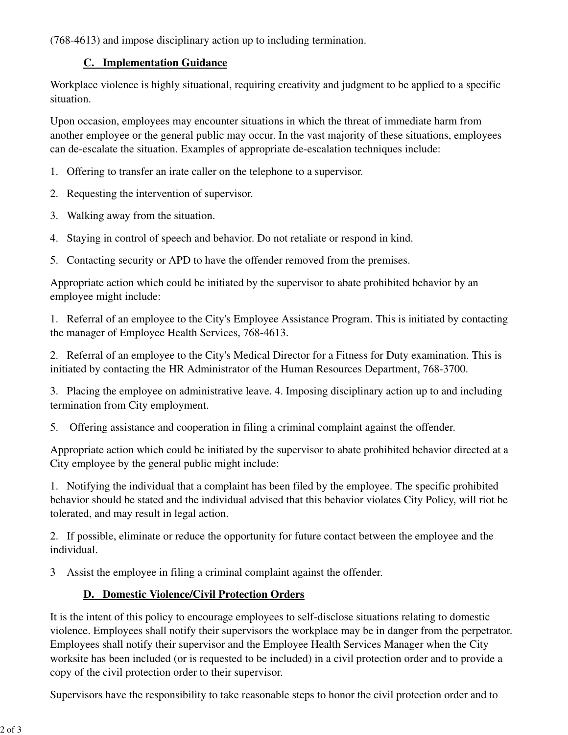(768-4613) and impose disciplinary action up to including termination.

#### **C. Implementation Guidance**

Workplace violence is highly situational, requiring creativity and judgment to be applied to a specific situation.

Upon occasion, employees may encounter situations in which the threat of immediate harm from another employee or the general public may occur. In the vast majority of these situations, employees can de-escalate the situation. Examples of appropriate de-escalation techniques include:

- 1. Offering to transfer an irate caller on the telephone to a supervisor.
- 2. Requesting the intervention of supervisor.
- 3. Walking away from the situation.
- 4. Staying in control of speech and behavior. Do not retaliate or respond in kind.
- 5. Contacting security or APD to have the offender removed from the premises.

Appropriate action which could be initiated by the supervisor to abate prohibited behavior by an employee might include:

1. Referral of an employee to the City's Employee Assistance Program. This is initiated by contacting the manager of Employee Health Services, 768-4613.

2. Referral of an employee to the City's Medical Director for a Fitness for Duty examination. This is initiated by contacting the HR Administrator of the Human Resources Department, 768-3700.

3. Placing the employee on administrative leave. 4. Imposing disciplinary action up to and including termination from City employment.

5. Offering assistance and cooperation in filing a criminal complaint against the offender.

Appropriate action which could be initiated by the supervisor to abate prohibited behavior directed at a City employee by the general public might include:

1. Notifying the individual that a complaint has been filed by the employee. The specific prohibited behavior should be stated and the individual advised that this behavior violates City Policy, will riot be tolerated, and may result in legal action.

2. If possible, eliminate or reduce the opportunity for future contact between the employee and the individual.

3 Assist the employee in filing a criminal complaint against the offender.

## **D. Domestic Violence/Civil Protection Orders**

It is the intent of this policy to encourage employees to self-disclose situations relating to domestic violence. Employees shall notify their supervisors the workplace may be in danger from the perpetrator. Employees shall notify their supervisor and the Employee Health Services Manager when the City worksite has been included (or is requested to be included) in a civil protection order and to provide a copy of the civil protection order to their supervisor.

Supervisors have the responsibility to take reasonable steps to honor the civil protection order and to